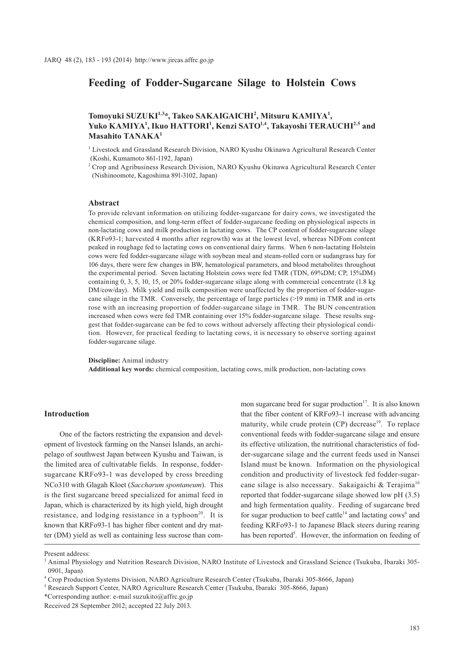# **Feeding of Fodder-Sugarcane Silage to Holstein Cows**

# **Tomoyuki SUZUKI1,3\*, Takeo SAKAIGAICHI2 , Mitsuru KAMIYA1 ,**  Yuko KAMIYA<sup>1</sup>, Ikuo HATTORI<sup>1</sup>, Kenzi SATO<sup>1,4</sup>, Takayoshi TERAUCHI<sup>2,5</sup> and **Masahito TANAKA1**

<sup>1</sup> Livestock and Grassland Research Division, NARO Kyushu Okinawa Agricultural Research Center (Koshi, Kumamoto 861-1192, Japan)

2 Crop and Agribusiness Research Division, NARO Kyushu Okinawa Agricultural Research Center (Nishinoomote, Kagoshima 891-3102, Japan)

#### **Abstract**

To provide relevant information on utilizing fodder-sugarcane for dairy cows, we investigated the chemical composition, and long-term effect of fodder-sugarcane feeding on physiological aspects in non-lactating cows and milk production in lactating cows. The CP content of fodder-sugarcane silage (KRFo93-1; harvested 4 months after regrowth) was at the lowest level, whereas NDFom content peaked in roughage fed to lactating cows on conventional dairy farms. When 6 non-lactating Holstein cows were fed fodder-sugarcane silage with soybean meal and steam-rolled corn or sudangrass hay for 106 days, there were few changes in BW, hematological parameters, and blood metabolites throughout the experimental period. Seven lactating Holstein cows were fed TMR (TDN, 69%DM; CP, 15%DM) containing 0, 3, 5, 10, 15, or 20% fodder-sugarcane silage along with commercial concentrate (1.8 kg DM/cow/day). Milk yield and milk composition were unaffected by the proportion of fodder-sugarcane silage in the TMR. Conversely, the percentage of large particles (>19 mm) in TMR and in orts rose with an increasing proportion of fodder-sugarcane silage in TMR. The BUN concentration increased when cows were fed TMR containing over 15% fodder-sugarcane silage. These results suggest that fodder-sugarcane can be fed to cows without adversely affecting their physiological condition. However, for practical feeding to lactating cows, it is necessary to observe sorting against fodder-sugarcane silage.

**Discipline:** Animal industry **Additional key words:** chemical composition, lactating cows, milk production, non-lactating cows

# **Introduction**

One of the factors restricting the expansion and development of livestock farming on the Nansei Islands, an archipelago of southwest Japan between Kyushu and Taiwan, is the limited area of cultivatable fields. In response, foddersugarcane KRFo93-1 was developed by cross breeding NCo310 with Glagah Kloet (*Saccharum spontaneum*). This is the first sugarcane breed specialized for animal feed in Japan, which is characterized by its high yield, high drought resistance, and lodging resistance in a typhoon<sup>20</sup>. It is known that KRFo93-1 has higher fiber content and dry matter (DM) yield as well as containing less sucrose than common sugarcane bred for sugar production<sup>17</sup>. It is also known that the fiber content of KRFo93-1 increase with advancing maturity, while crude protein  $(CP)$  decrease<sup>19</sup>. To replace conventional feeds with fodder-sugarcane silage and ensure its effective utilization, the nutritional characteristics of fodder-sugarcane silage and the current feeds used in Nansei Island must be known. Information on the physiological condition and productivity of livestock fed fodder-sugarcane silage is also necessary. Sakaigaichi & Terajima<sup>16</sup> reported that fodder-sugarcane silage showed low pH (3.5) and high fermentation quality. Feeding of sugarcane bred for sugar production to beef cattle<sup>14</sup> and lactating cows<sup>6</sup> and feeding KRFo93-1 to Japanese Black steers during rearing has been reported<sup>5</sup>. However, the information on feeding of

Present address:

<sup>&</sup>lt;sup>3</sup> Animal Physiology and Nutrition Research Division, NARO Institute of Livestock and Grassland Science (Tsukuba, Ibaraki 305-0901, Japan)

<sup>4</sup> Crop Production Systems Division, NARO Agriculture Research Center (Tsukuba, Ibaraki 305-8666, Japan)

<sup>5</sup> Research Support Center, NARO Agriculture Research Center (Tsukuba, Ibaraki 305-8666, Japan)

<sup>\*</sup>Corresponding author: e-mail suzukito@affrc.go.jp

Received 28 September 2012; accepted 22 July 2013.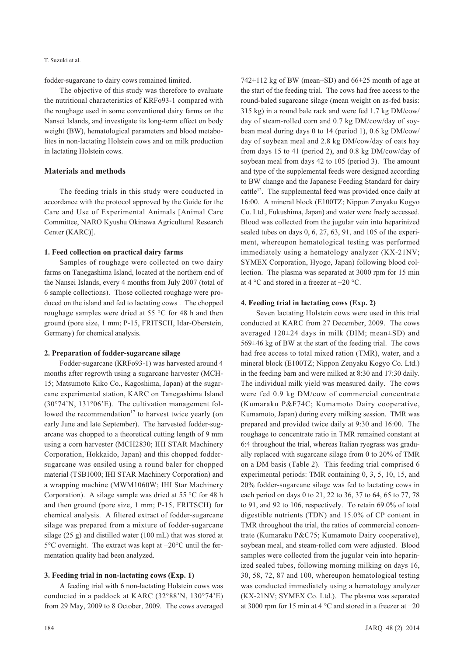fodder-sugarcane to dairy cows remained limited.

The objective of this study was therefore to evaluate the nutritional characteristics of KRFo93-1 compared with the roughage used in some conventional dairy farms on the Nansei Islands, and investigate its long-term effect on body weight (BW), hematological parameters and blood metabolites in non-lactating Holstein cows and on milk production in lactating Holstein cows.

# **Materials and methods**

The feeding trials in this study were conducted in accordance with the protocol approved by the Guide for the Care and Use of Experimental Animals [Animal Care Committee, NARO Kyushu Okinawa Agricultural Research Center (KARC)].

#### **1. Feed collection on practical dairy farms**

Samples of roughage were collected on two dairy farms on Tanegashima Island, located at the northern end of the Nansei Islands, every 4 months from July 2007 (total of 6 sample collections). Those collected roughage were produced on the island and fed to lactating cows . The chopped roughage samples were dried at 55 °C for 48 h and then ground (pore size, 1 mm; P-15, FRITSCH, Idar-Oberstein, Germany) for chemical analysis.

#### **2. Preparation of fodder-sugarcane silage**

Fodder-sugarcane (KRFo93-1) was harvested around 4 months after regrowth using a sugarcane harvester (MCH-15; Matsumoto Kiko Co., Kagoshima, Japan) at the sugarcane experimental station, KARC on Tanegashima Island (30°74'N, 131°06'E). The cultivation management followed the recommendation<sup>17</sup> to harvest twice yearly (on early June and late September). The harvested fodder-sugarcane was chopped to a theoretical cutting length of 9 mm using a corn harvester (MCH2830; IHI STAR Machinery Corporation, Hokkaido, Japan) and this chopped foddersugarcane was ensiled using a round baler for chopped material (TSB1000; IHI STAR Machinery Corporation) and a wrapping machine (MWM1060W; IHI Star Machinery Corporation). A silage sample was dried at 55 °C for 48 h and then ground (pore size, 1 mm; P-15, FRITSCH) for chemical analysis. A filtered extract of fodder-sugarcane silage was prepared from a mixture of fodder-sugarcane silage (25 g) and distilled water (100 mL) that was stored at 5°C overnight. The extract was kept at −20°C until the fermentation quality had been analyzed.

### **3. Feeding trial in non-lactating cows (Exp. 1)**

A feeding trial with 6 non-lactating Holstein cows was conducted in a paddock at KARC (32°88'N, 130°74'E) from 29 May, 2009 to 8 October, 2009. The cows averaged

742 $\pm$ 112 kg of BW (mean $\pm$ SD) and 66 $\pm$ 25 month of age at the start of the feeding trial. The cows had free access to the round-baled sugarcane silage (mean weight on as-fed basis: 315 kg) in a round bale rack and were fed 1.7 kg DM/cow/ day of steam-rolled corn and 0.7 kg DM/cow/day of soybean meal during days 0 to 14 (period 1), 0.6 kg DM/cow/ day of soybean meal and 2.8 kg DM/cow/day of oats hay from days 15 to 41 (period 2), and 0.8 kg DM/cow/day of soybean meal from days 42 to 105 (period 3). The amount and type of the supplemental feeds were designed according to BW change and the Japanese Feeding Standard for dairy cattle<sup>12</sup>. The supplemental feed was provided once daily at 16:00. A mineral block (E100TZ; Nippon Zenyaku Kogyo Co. Ltd., Fukushima, Japan) and water were freely accessed. Blood was collected from the jugular vein into heparinized sealed tubes on days 0, 6, 27, 63, 91, and 105 of the experiment, whereupon hematological testing was performed immediately using a hematology analyzer (KX-21NV; SYMEX Corporation, Hyogo, Japan) following blood collection. The plasma was separated at 3000 rpm for 15 min at 4 °C and stored in a freezer at −20 °C.

# **4. Feeding trial in lactating cows (Exp. 2)**

Seven lactating Holstein cows were used in this trial conducted at KARC from 27 December, 2009. The cows averaged 120±24 days in milk (DIM; mean±SD) and 569±46 kg of BW at the start of the feeding trial. The cows had free access to total mixed ration (TMR), water, and a mineral block (E100TZ; Nippon Zenyaku Kogyo Co. Ltd.) in the feeding barn and were milked at 8:30 and 17:30 daily. The individual milk yield was measured daily. The cows were fed 0.9 kg DM/cow of commercial concentrate (Kumaraku P&F74C; Kumamoto Dairy cooperative, Kumamoto, Japan) during every milking session. TMR was prepared and provided twice daily at 9:30 and 16:00. The roughage to concentrate ratio in TMR remained constant at 6:4 throughout the trial, whereas Italian ryegrass was gradually replaced with sugarcane silage from 0 to 20% of TMR on a DM basis (Table 2). This feeding trial comprised 6 experimental periods: TMR containing 0, 3, 5, 10, 15, and 20% fodder-sugarcane silage was fed to lactating cows in each period on days 0 to 21, 22 to 36, 37 to 64, 65 to 77, 78 to 91, and 92 to 106, respectively. To retain 69.0% of total digestible nutrients (TDN) and 15.0% of CP content in TMR throughout the trial, the ratios of commercial concentrate (Kumaraku P&C75; Kumamoto Dairy cooperative), soybean meal, and steam-rolled corn were adjusted. Blood samples were collected from the jugular vein into heparinized sealed tubes, following morning milking on days 16, 30, 58, 72, 87 and 100, whereupon hematological testing was conducted immediately using a hematology analyzer (KX-21NV; SYMEX Co. Ltd.). The plasma was separated at 3000 rpm for 15 min at 4 °C and stored in a freezer at −20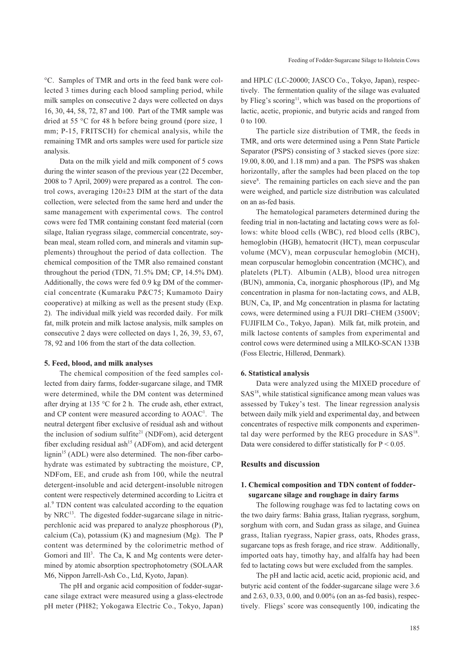°C. Samples of TMR and orts in the feed bank were collected 3 times during each blood sampling period, while milk samples on consecutive 2 days were collected on days 16, 30, 44, 58, 72, 87 and 100. Part of the TMR sample was dried at 55 °C for 48 h before being ground (pore size, 1 mm; P-15, FRITSCH) for chemical analysis, while the remaining TMR and orts samples were used for particle size analysis.

Data on the milk yield and milk component of 5 cows during the winter season of the previous year (22 December, 2008 to 7 April, 2009) were prepared as a control. The control cows, averaging 120±23 DIM at the start of the data collection, were selected from the same herd and under the same management with experimental cows. The control cows were fed TMR containing constant feed material (corn silage, Italian ryegrass silage, commercial concentrate, soybean meal, steam rolled corn, and minerals and vitamin supplements) throughout the period of data collection. The chemical composition of the TMR also remained constant throughout the period (TDN, 71.5% DM; CP, 14.5% DM). Additionally, the cows were fed 0.9 kg DM of the commercial concentrate (Kumaraku P&C75; Kumamoto Dairy cooperative) at milking as well as the present study (Exp. 2). The individual milk yield was recorded daily. For milk fat, milk protein and milk lactose analysis, milk samples on consecutive 2 days were collected on days 1, 26, 39, 53, 67, 78, 92 and 106 from the start of the data collection.

#### **5. Feed, blood, and milk analyses**

The chemical composition of the feed samples collected from dairy farms, fodder-sugarcane silage, and TMR were determined, while the DM content was determined after drying at 135 °C for 2 h. The crude ash, ether extract, and CP content were measured according to AOAC<sup>1</sup>. The neutral detergent fiber exclusive of residual ash and without the inclusion of sodium sulfite<sup>21</sup> (NDFom), acid detergent fiber excluding residual ash<sup>15</sup> (ADFom), and acid detergent lignin<sup>15</sup> (ADL) were also determined. The non-fiber carbohydrate was estimated by subtracting the moisture, CP, NDFom, EE, and crude ash from 100, while the neutral detergent-insoluble and acid detergent-insoluble nitrogen content were respectively determined according to Licitra et al.<sup>9</sup> TDN content was calculated according to the equation by NRC<sup>13</sup>. The digested fodder-sugarcane silage in nitricperchlonic acid was prepared to analyze phosphorous (P), calcium (Ca), potassium  $(K)$  and magnesium  $(Mg)$ . The P content was determined by the colorimetric method of Gomori and Ill<sup>3</sup>. The Ca, K and Mg contents were determined by atomic absorption spectrophotometry (SOLAAR M6, Nippon Jarrell-Ash Co., Ltd, Kyoto, Japan).

The pH and organic acid composition of fodder-sugarcane silage extract were measured using a glass-electrode pH meter (PH82; Yokogawa Electric Co., Tokyo, Japan)

and HPLC (LC-20000; JASCO Co., Tokyo, Japan), respectively. The fermentation quality of the silage was evaluated by Flieg's scoring<sup>11</sup>, which was based on the proportions of lactic, acetic, propionic, and butyric acids and ranged from 0 to 100.

The particle size distribution of TMR, the feeds in TMR, and orts were determined using a Penn State Particle Separator (PSPS) consisting of 3 stacked sieves (pore size: 19.00, 8.00, and 1.18 mm) and a pan. The PSPS was shaken horizontally, after the samples had been placed on the top sieve<sup>8</sup>. The remaining particles on each sieve and the pan were weighed, and particle size distribution was calculated on an as-fed basis.

The hematological parameters determined during the feeding trial in non-lactating and lactating cows were as follows: white blood cells (WBC), red blood cells (RBC), hemoglobin (HGB), hematocrit (HCT), mean corpuscular volume (MCV), mean corpuscular hemoglobin (MCH), mean corpuscular hemoglobin concentration (MCHC), and platelets (PLT). Albumin (ALB), blood urea nitrogen (BUN), ammonia, Ca, inorganic phosphorous (IP), and Mg concentration in plasma for non-lactating cows, and ALB, BUN, Ca, IP, and Mg concentration in plasma for lactating cows, were determined using a FUJI DRI–CHEM (3500V; FUJIFILM Co., Tokyo, Japan). Milk fat, milk protein, and milk lactose contents of samples from experimental and control cows were determined using a MILKO-SCAN 133B (Foss Electric, Hillerød, Denmark).

#### **6. Statistical analysis**

Data were analyzed using the MIXED procedure of  $SAS<sup>18</sup>$ , while statistical significance among mean values was assessed by Tukey's test. The linear regression analysis between daily milk yield and experimental day, and between concentrates of respective milk components and experimental day were performed by the REG procedure in  $SAS^{18}$ . Data were considered to differ statistically for P < 0.05.

# **Results and discussion**

# **1. Chemical composition and TDN content of foddersugarcane silage and roughage in dairy farms**

The following roughage was fed to lactating cows on the two dairy farms: Bahia grass, Italian ryegrass, sorghum, sorghum with corn, and Sudan grass as silage, and Guinea grass, Italian ryegrass, Napier grass, oats, Rhodes grass, sugarcane tops as fresh forage, and rice straw. Additionally, imported oats hay, timothy hay, and alfalfa hay had been fed to lactating cows but were excluded from the samples.

The pH and lactic acid, acetic acid, propionic acid, and butyric acid content of the fodder-sugarcane silage were 3.6 and 2.63, 0.33, 0.00, and 0.00% (on an as-fed basis), respectively. Fliegs' score was consequently 100, indicating the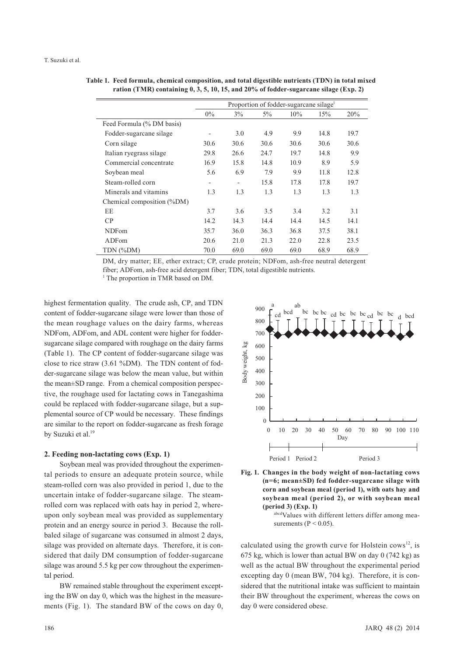**Table 1. Feed formula, chemical composition, and total digestible nutrients (TDN) in total mixed ration (TMR) containing 0, 3, 5, 10, 15, and 20% of fodder-sugarcane silage (Exp. 2)**

|                            | Proportion of fodder-sugarcane silage <sup>1</sup> |                          |       |        |      |      |
|----------------------------|----------------------------------------------------|--------------------------|-------|--------|------|------|
|                            | $0\%$                                              | $3\%$                    | $5\%$ | $10\%$ | 15%  | 20%  |
| Feed Formula (% DM basis)  |                                                    |                          |       |        |      |      |
| Fodder-sugarcane silage    | $\overline{\phantom{0}}$                           | 3.0                      | 4.9   | 9.9    | 14.8 | 19.7 |
| Corn silage                | 30.6                                               | 30.6                     | 30.6  | 30.6   | 30.6 | 30.6 |
| Italian ryegrass silage    | 29.8                                               | 26.6                     | 24.7  | 19.7   | 14.8 | 9.9  |
| Commercial concentrate     | 16.9                                               | 15.8                     | 14.8  | 10.9   | 8.9  | 5.9  |
| Soybean meal               | 5.6                                                | 6.9                      | 7.9   | 9.9    | 11.8 | 12.8 |
| Steam-rolled corn          | $\qquad \qquad \blacksquare$                       | $\overline{\phantom{0}}$ | 15.8  | 17.8   | 17.8 | 19.7 |
| Minerals and vitamins      | 1.3                                                | 1.3                      | 1.3   | 1.3    | 1.3  | 1.3  |
| Chemical composition (%DM) |                                                    |                          |       |        |      |      |
| EE                         | 3.7                                                | 3.6                      | 3.5   | 3.4    | 3.2  | 3.1  |
| CP                         | 14.2                                               | 14.3                     | 14.4  | 14.4   | 14.5 | 14.1 |
| <b>NDFom</b>               | 35.7                                               | 36.0                     | 36.3  | 36.8   | 37.5 | 38.1 |
| ADFom                      | 20.6                                               | 21.0                     | 21.3  | 22.0   | 22.8 | 23.5 |
| TDN (%DM)                  | 70.0                                               | 69.0                     | 69.0  | 69.0   | 68.9 | 68.9 |

DM, dry matter; EE, ether extract; CP, crude protein; NDFom, ash-free neutral detergent fiber; ADFom, ash-free acid detergent fiber; TDN, total digestible nutrients.

<sup>1</sup> The proportion in TMR based on DM.

highest fermentation quality. The crude ash, CP, and TDN content of fodder-sugarcane silage were lower than those of the mean roughage values on the dairy farms, whereas NDFom, ADFom, and ADL content were higher for foddersugarcane silage compared with roughage on the dairy farms (Table 1). The CP content of fodder-sugarcane silage was close to rice straw (3.61 %DM). The TDN content of fodder-sugarcane silage was below the mean value, but within the mean±SD range. From a chemical composition perspective, the roughage used for lactating cows in Tanegashima could be replaced with fodder-sugarcane silage, but a supplemental source of CP would be necessary. These findings are similar to the report on fodder-sugarcane as fresh forage by Suzuki et al.<sup>19</sup>

### **2. Feeding non-lactating cows (Exp. 1)**

Soybean meal was provided throughout the experimental periods to ensure an adequate protein source, while steam-rolled corn was also provided in period 1, due to the uncertain intake of fodder-sugarcane silage. The steamrolled corn was replaced with oats hay in period 2, whereupon only soybean meal was provided as supplementary protein and an energy source in period 3. Because the rollbaled silage of sugarcane was consumed in almost 2 days, silage was provided on alternate days. Therefore, it is considered that daily DM consumption of fodder-sugarcane silage was around 5.5 kg per cow throughout the experimental period.

BW remained stable throughout the experiment excepting the BW on day 0, which was the highest in the measurements (Fig. 1). The standard BW of the cows on day 0,





abcdValues with different letters differ among measurements ( $P < 0.05$ ).

calculated using the growth curve for Holstein cows<sup>12</sup>, is 675 kg, which is lower than actual BW on day 0 (742 kg) as well as the actual BW throughout the experimental period excepting day 0 (mean BW, 704 kg). Therefore, it is considered that the nutritional intake was sufficient to maintain their BW throughout the experiment, whereas the cows on day 0 were considered obese.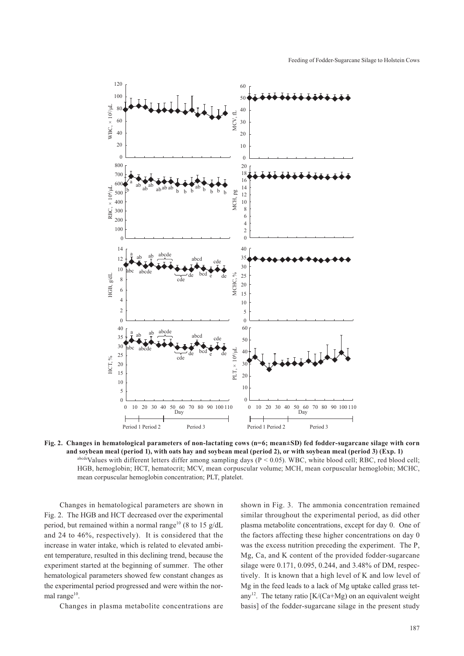

**Fig. 2. Changes in hematological parameters of non-lactating cows (n=6; mean±SD) fed fodder-sugarcane silage with corn and soybean meal (period 1), with oats hay and soybean meal (period 2), or with soybean meal (period 3) (Exp. 1)**  $a<sub>bcde</sub>$ Values with different letters differ among sampling days (P < 0.05). WBC, white blood cell; RBC, red blood cell; HGB, hemoglobin; HCT, hematocrit; MCV, mean corpuscular volume; MCH, mean corpuscular hemoglobin; MCHC, mean corpuscular hemoglobin concentration; PLT, platelet.

Changes in hematological parameters are shown in Fig. 2. The HGB and HCT decreased over the experimental period, but remained within a normal range<sup>10</sup> (8 to 15 g/dL and 24 to 46%, respectively). It is considered that the increase in water intake, which is related to elevated ambient temperature, resulted in this declining trend, because the experiment started at the beginning of summer. The other hematological parameters showed few constant changes as the experimental period progressed and were within the normal range $10$ .

Changes in plasma metabolite concentrations are

shown in Fig. 3. The ammonia concentration remained similar throughout the experimental period, as did other plasma metabolite concentrations, except for day 0. One of the factors affecting these higher concentrations on day 0 was the excess nutrition preceding the experiment. The P, Mg, Ca, and K content of the provided fodder-sugarcane silage were 0.171, 0.095, 0.244, and 3.48% of DM, respectively. It is known that a high level of K and low level of Mg in the feed leads to a lack of Mg uptake called grass tetany<sup>12</sup>. The tetany ratio  $[K/(Ca+Mg)$  on an equivalent weight basis] of the fodder-sugarcane silage in the present study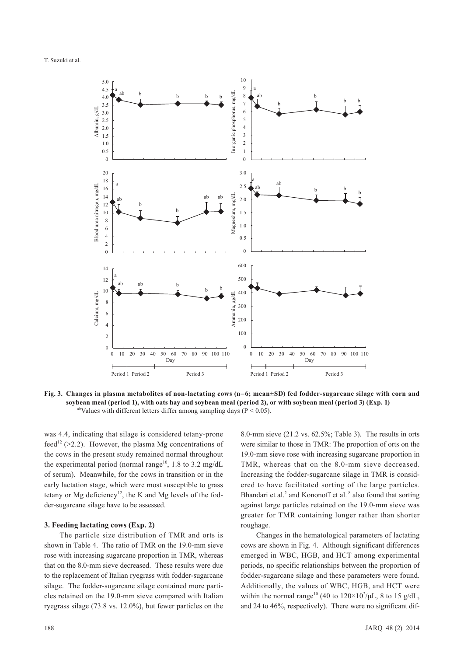

**Fig. 3. Changes in plasma metabolites of non-lactating cows (n=6; mean±SD) fed fodder-sugarcane silage with corn and soybean meal (period 1), with oats hay and soybean meal (period 2), or with soybean meal (period 3) (Exp. 1)** <sup>ab</sup>Values with different letters differ among sampling days ( $P < 0.05$ ).

was 4.4, indicating that silage is considered tetany-prone feed<sup>12</sup> (>2.2). However, the plasma Mg concentrations of the cows in the present study remained normal throughout the experimental period (normal range<sup>10</sup>, 1.8 to 3.2 mg/dL of serum). Meanwhile, for the cows in transition or in the early lactation stage, which were most susceptible to grass tetany or Mg deficiency<sup>12</sup>, the K and Mg levels of the fodder-sugarcane silage have to be assessed.

# **3. Feeding lactating cows (Exp. 2)**

The particle size distribution of TMR and orts is shown in Table 4. The ratio of TMR on the 19.0-mm sieve rose with increasing sugarcane proportion in TMR, whereas that on the 8.0-mm sieve decreased. These results were due to the replacement of Italian ryegrass with fodder-sugarcane silage. The fodder-sugarcane silage contained more particles retained on the 19.0-mm sieve compared with Italian ryegrass silage (73.8 vs. 12.0%), but fewer particles on the

8.0-mm sieve (21.2 vs. 62.5%; Table 3). The results in orts were similar to those in TMR: The proportion of orts on the 19.0-mm sieve rose with increasing sugarcane proportion in TMR, whereas that on the 8.0-mm sieve decreased. Increasing the fodder-sugarcane silage in TMR is considered to have facilitated sorting of the large particles. Bhandari et al.<sup>2</sup> and Kononoff et al.<sup>8</sup> also found that sorting against large particles retained on the 19.0-mm sieve was greater for TMR containing longer rather than shorter roughage.

Changes in the hematological parameters of lactating cows are shown in Fig. 4. Although significant differences emerged in WBC, HGB, and HCT among experimental periods, no specific relationships between the proportion of fodder-sugarcane silage and these parameters were found. Additionally, the values of WBC, HGB, and HCT were within the normal range<sup>10</sup> (40 to  $120 \times 10^2/\mu L$ , 8 to 15 g/dL, and 24 to 46%, respectively). There were no significant dif-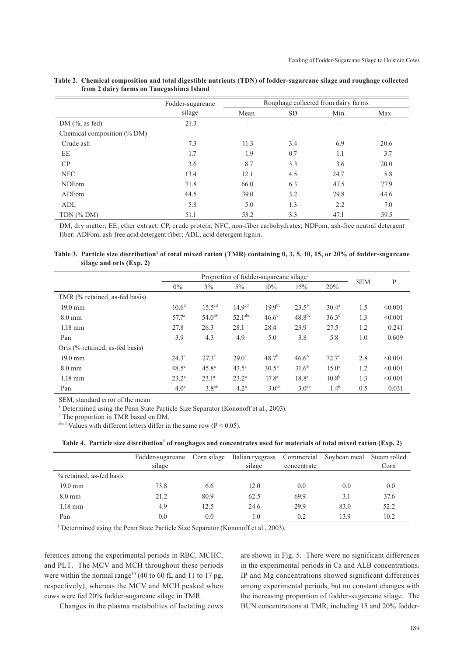|                                | Fodder-sugarcane |                          | Roughage collected from dairy farms |                          |      |  |
|--------------------------------|------------------|--------------------------|-------------------------------------|--------------------------|------|--|
|                                | silage           | Mean                     | <b>SD</b>                           | Min.                     | Max. |  |
| DM $(\%$ , as fed)             | 21.3             | $\overline{\phantom{0}}$ | $\overline{\phantom{a}}$            | $\overline{\phantom{0}}$ |      |  |
| Chemical composition $(\%$ DM) |                  |                          |                                     |                          |      |  |
| Crude ash                      | 7.3              | 11.3                     | 3.4                                 | 6.9                      | 20.6 |  |
| EE                             | 1.7              | 1.9                      | 0.7                                 | 1.1                      | 3.7  |  |
| CP                             | 3.6              | 8.7                      | 3.3                                 | 3.6                      | 20.0 |  |
| <b>NFC</b>                     | 13.4             | 12.1                     | 4.5                                 | 24.7                     | 5.8  |  |
| <b>NDFom</b>                   | 71.8             | 66.0                     | 6.3                                 | 47.5                     | 77.9 |  |
| ADFom                          | 44.5             | 39.0                     | 3.2                                 | 29.8                     | 44.6 |  |
| ADL                            | 5.8              | 5.0                      | 1.3                                 | 2.2                      | 7.0  |  |
| $TDN$ (% DM)                   | 51.1             | 53.2                     | 3.3                                 | 47.1                     | 59.5 |  |

#### **Table 2. Chemical composition and total digestible nutrients (TDN) of fodder-sugarcane silage and roughage collected from 2 dairy farms on Tanegashima Island**

DM, dry matter; EE, ether extract; CP, crude protein; NFC, non-fiber carbohydrates; NDFom, ash-free neutral detergent fiber; ADFom, ash-free acid detergent fiber; ADL, acid detergent lignin.

Table 3. Particle size distribution<sup>1</sup> of total mixed ration (TMR) containing 0, 3, 5, 10, 15, or 20% of fodder-sugarcane **silage and orts (Exp. 2)**

|                                 | Proportion of fodder-sugarcane silage <sup>2</sup> |                   |                     |                   |                   | <b>SEM</b>        |     |         |
|---------------------------------|----------------------------------------------------|-------------------|---------------------|-------------------|-------------------|-------------------|-----|---------|
|                                 | $0\%$                                              | $3\%$             | $5\%$               | 10%               | 15%               | 20%               |     | P       |
| TMR (% retained, as-fed basis)  |                                                    |                   |                     |                   |                   |                   |     |         |
| $19.0 \text{ mm}$               | $10.6^d$                                           | $15.5^{cd}$       | 14.9 <sup>cd</sup>  | $19.9^{bc}$       | $23.5^{b}$        | 30.4 <sup>a</sup> | 1.5 | < 0.001 |
| $8.0 \text{ mm}$                | 57.7 <sup>a</sup>                                  | $54.0^{ab}$       | 52.1 <sup>abc</sup> | $46.6^\circ$      | $48.8^{bc}$       | 36.3 <sup>d</sup> | 1.3 | < 0.001 |
| $1.18$ mm                       | 27.8                                               | 26.3              | 28.1                | 28.4              | 23.9              | 27.5              | 1.2 | 0.241   |
| Pan                             | 3.9                                                | 4.3               | 4.9                 | 5.0               | 3.8               | 5.8               | 1.0 | 0.609   |
| Orts (% retained, as-fed basis) |                                                    |                   |                     |                   |                   |                   |     |         |
| $19.0 \text{ mm}$               | $24.3^\circ$                                       | $27.3^\circ$      | $29.0^\circ$        | 48.7 <sup>b</sup> | $46.6^{b}$        | $72.7^{\rm a}$    | 2.8 | < 0.001 |
| $8.0 \text{ mm}$                | $48.5^{\circ}$                                     | $45.8^{\circ}$    | $43.5^{\circ}$      | $30.5^{b}$        | $31.6^{b}$        | $15.0^\circ$      | 1.2 | < 0.001 |
| $1.18$ mm                       | $23.2^{\rm a}$                                     | $23.1^{\circ}$    | $23.2^{\rm a}$      | 17.8 <sup>a</sup> | $18.8^{\circ}$    | $10.8^{b}$        | 1.3 | < 0.001 |
| Pan                             | 4.0 <sup>a</sup>                                   | 3.8 <sup>ab</sup> | 4.2 <sup>a</sup>    | 3.0 <sup>ab</sup> | 3.0 <sup>ab</sup> | 1.4 <sup>b</sup>  | 0.5 | 0.031   |

SEM, standard error of the mean

<sup>1</sup> Determined using the Penn State Particle Size Separator (Kononoff et al., 2003).

<sup>2</sup> The proportion in TMR based on DM.

abcd Values with different letters differ in the same row ( $P < 0.05$ ).

Table 4. Particle size distribution<sup>1</sup> of roughages and concentrates used for materials of total mixed ration (Exp. 2)

|                          | Fodder-sugarcane | Corn silage | Italian ryegrass |             | Commercial Soybean meal | Steam rolled |
|--------------------------|------------------|-------------|------------------|-------------|-------------------------|--------------|
|                          | silage           |             | silage           | concentrate |                         | Corn         |
| % retained, as-fed basis |                  |             |                  |             |                         |              |
| $19.0 \text{ mm}$        | 73.8             | 6.6         | 12.0             | 0.0         | 0.0                     | 0.0          |
| $8.0 \text{ mm}$         | 21.2             | 80.9        | 62.5             | 69.9        | 3.1                     | 37.6         |
| $1.18$ mm                | 4.9              | 12.5        | 24.6             | 29.9        | 83.0                    | 52.2         |
| Pan                      | 0.0              | 0.0         | 1.0              | 0.2         | 13.9                    | 10.2         |

<sup>1</sup> Determined using the Penn State Particle Size Separator (Kononoff et al., 2003).

ferences among the experimental periods in RBC, MCHC, and PLT. The MCV and MCH throughout these periods were within the normal range<sup>10</sup> (40 to 60 fL and 11 to 17 pg, respectively), whereas the MCV and MCH peaked when cows were fed 20% fodder-sugarcane silage in TMR.

are shown in Fig. 5. There were no significant differences in the experimental periods in Ca and ALB concentrations. IP and Mg concentrations showed significant differences among experimental periods, but no constant changes with the increasing proportion of fodder-sugarcane silage. The BUN concentrations at TMR, including 15 and 20% fodder-

Changes in the plasma metabolites of lactating cows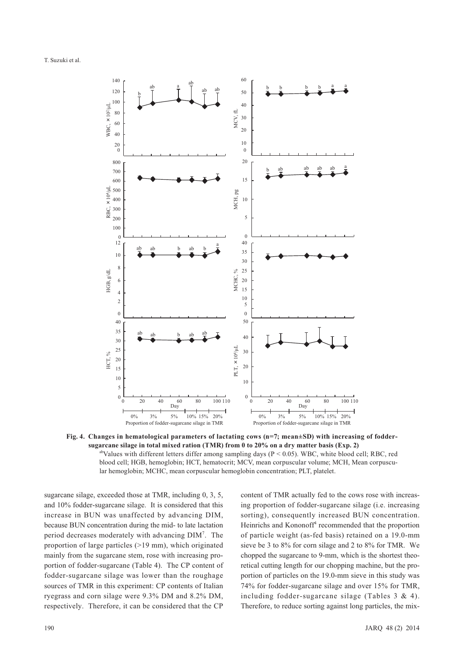T. Suzuki et al.



**Fig. 4. Changes in hematological parameters of lactating cows (n=7; mean±SD) with increasing of foddersugarcane silage in total mixed ration (TMR) from 0 to 20% on a dry matter basis (Exp. 2)** abValues with different letters differ among sampling days ( $P < 0.05$ ). WBC, white blood cell; RBC, red blood cell; HGB, hemoglobin; HCT, hematocrit; MCV, mean corpuscular volume; MCH, Mean corpuscular hemoglobin; MCHC, mean corpuscular hemoglobin concentration; PLT, platelet.

sugarcane silage, exceeded those at TMR, including 0, 3, 5, and 10% fodder-sugarcane silage. It is considered that this increase in BUN was unaffected by advancing DIM, because BUN concentration during the mid- to late lactation period decreases moderately with advancing DIM7 . The proportion of large particles (>19 mm), which originated mainly from the sugarcane stem, rose with increasing proportion of fodder-sugarcane (Table 4). The CP content of fodder-sugarcane silage was lower than the roughage sources of TMR in this experiment: CP contents of Italian ryegrass and corn silage were 9.3% DM and 8.2% DM, respectively. Therefore, it can be considered that the CP

content of TMR actually fed to the cows rose with increasing proportion of fodder-sugarcane silage (i.e. increasing sorting), consequently increased BUN concentration. Heinrichs and Kononoff<sup>4</sup> recommended that the proportion of particle weight (as-fed basis) retained on a 19.0-mm sieve be 3 to 8% for corn silage and 2 to 8% for TMR. We chopped the sugarcane to 9-mm, which is the shortest theoretical cutting length for our chopping machine, but the proportion of particles on the 19.0-mm sieve in this study was 74% for fodder-sugarcane silage and over 15% for TMR, including fodder-sugarcane silage (Tables 3 & 4). Therefore, to reduce sorting against long particles, the mix-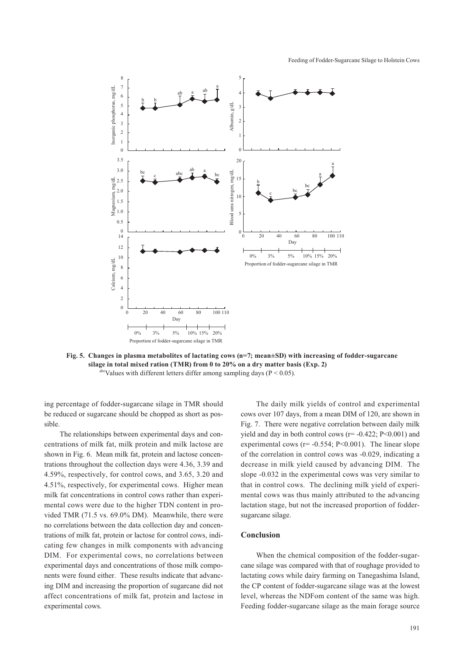Feeding of Fodder-Sugarcane Silage to Holstein Cows



**Fig. 5. Changes in plasma metabolites of lactating cows (n=7; mean±SD) with increasing of fodder-sugarcane silage in total mixed ration (TMR) from 0 to 20% on a dry matter basis (Exp. 2)**  $a^{\text{bc}}$ Values with different letters differ among sampling days (P < 0.05).

ing percentage of fodder-sugarcane silage in TMR should be reduced or sugarcane should be chopped as short as possible.

The relationships between experimental days and concentrations of milk fat, milk protein and milk lactose are shown in Fig. 6. Mean milk fat, protein and lactose concentrations throughout the collection days were 4.36, 3.39 and 4.59%, respectively, for control cows, and 3.65, 3.20 and 4.51%, respectively, for experimental cows. Higher mean milk fat concentrations in control cows rather than experimental cows were due to the higher TDN content in provided TMR (71.5 vs. 69.0% DM). Meanwhile, there were no correlations between the data collection day and concentrations of milk fat, protein or lactose for control cows, indicating few changes in milk components with advancing DIM. For experimental cows, no correlations between experimental days and concentrations of those milk components were found either. These results indicate that advancing DIM and increasing the proportion of sugarcane did not affect concentrations of milk fat, protein and lactose in experimental cows.

The daily milk yields of control and experimental cows over 107 days, from a mean DIM of 120, are shown in Fig. 7. There were negative correlation between daily milk yield and day in both control cows ( $r = -0.422$ ;  $P < 0.001$ ) and experimental cows ( $r = -0.554$ ;  $P < 0.001$ ). The linear slope of the correlation in control cows was -0.029, indicating a decrease in milk yield caused by advancing DIM. The slope -0.032 in the experimental cows was very similar to that in control cows. The declining milk yield of experimental cows was thus mainly attributed to the advancing lactation stage, but not the increased proportion of foddersugarcane silage.

### **Conclusion**

When the chemical composition of the fodder-sugarcane silage was compared with that of roughage provided to lactating cows while dairy farming on Tanegashima Island, the CP content of fodder-sugarcane silage was at the lowest level, whereas the NDFom content of the same was high. Feeding fodder-sugarcane silage as the main forage source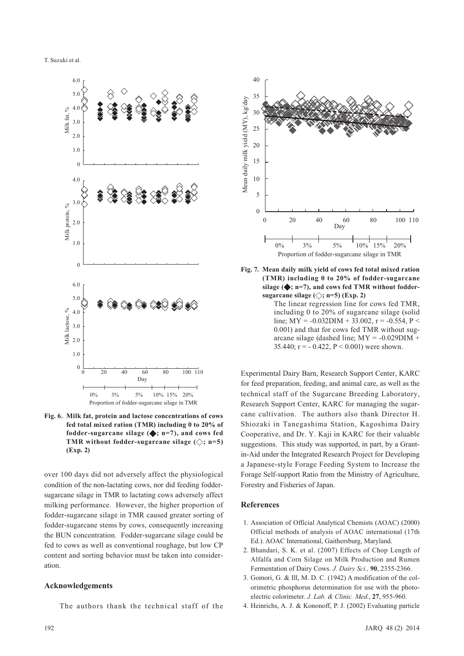

**Fig. 6. Milk fat, protein and lactose concentrations of cows fed total mixed ration (TMR) including 0 to 20% of**  fodder-sugarcane silage  $(\blacklozenge; n=7)$ , and cows fed **TMR** without fodder-sugarcane silage  $(\diamondsuit; n=5)$ **(Exp. 2)**

over 100 days did not adversely affect the physiological condition of the non-lactating cows, nor did feeding foddersugarcane silage in TMR to lactating cows adversely affect milking performance. However, the higher proportion of fodder-sugarcane silage in TMR caused greater sorting of fodder-sugarcane stems by cows, consequently increasing the BUN concentration. Fodder-sugarcane silage could be fed to cows as well as conventional roughage, but low CP content and sorting behavior must be taken into consideration.

# **Acknowledgements**

The authors thank the technical staff of the



**Fig. 7. Mean daily milk yield of cows fed total mixed ration (TMR) including 0 to 20% of fodder-sugarcane**  silage  $(\triangle, n=7)$ , and cows fed TMR without fodder**sugarcane silage**  $(\diamondsuit; n=5)$  (Exp. 2)

The linear regression line for cows fed TMR, including 0 to 20% of sugarcane silage (solid line;  $MY = -0.032DIM + 33.002$ ,  $r = -0.554$ ,  $P <$ 0.001) and that for cows fed TMR without sugarcane silage (dashed line;  $MY = -0.029$ DIM + 35.440;  $r = -0.422$ ,  $P \le 0.001$ ) were shown.

Experimental Dairy Barn, Research Support Center, KARC for feed preparation, feeding, and animal care, as well as the technical staff of the Sugarcane Breeding Laboratory, Research Support Center, KARC for managing the sugarcane cultivation. The authors also thank Director H. Shiozaki in Tanegashima Station, Kagoshima Dairy Cooperative, and Dr. Y. Kaji in KARC for their valuable suggestions. This study was supported, in part, by a Grantin-Aid under the Integrated Research Project for Developing a Japanese-style Forage Feeding System to Increase the Forage Self-support Ratio from the Ministry of Agriculture, Forestry and Fisheries of Japan.

#### **References**

- 1. Association of Official Analytical Chemists (AOAC) (2000) Official methods of analysis of AOAC international (17th Ed.). AOAC International, Gaithersburg, Maryland.
- 2. Bhandari, S. K. et al. (2007) Effects of Chop Length of Alfalfa and Corn Silage on Milk Production and Rumen Fermentation of Dairy Cows. *J. Dairy Sci.,* **90**, 2355-2366.
- 3. Gomori, G. & Ill, M. D. C. (1942) A modification of the colorimetric phosphorus determination for use with the photoelectric colorimeter. *J. Lab. & Clinic. Med.*, **27**, 955-960.
- 4. Heinrichs, A. J. & Kononoff, P. J. (2002) Evaluating particle